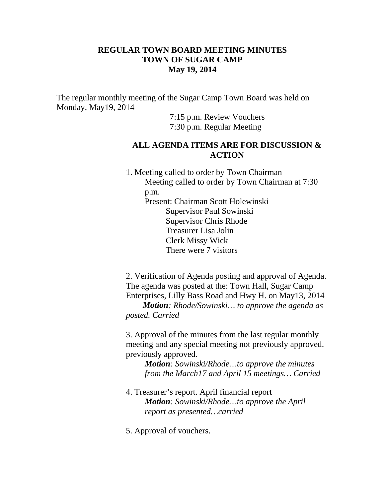## **REGULAR TOWN BOARD MEETING MINUTES TOWN OF SUGAR CAMP May 19, 2014**

The regular monthly meeting of the Sugar Camp Town Board was held on Monday, May19, 2014

> 7:15 p.m. Review Vouchers 7:30 p.m. Regular Meeting

## **ALL AGENDA ITEMS ARE FOR DISCUSSION & ACTION**

1. Meeting called to order by Town Chairman Meeting called to order by Town Chairman at 7:30 p.m. Present: Chairman Scott Holewinski Supervisor Paul Sowinski Supervisor Chris Rhode Treasurer Lisa Jolin Clerk Missy Wick There were 7 visitors

2. Verification of Agenda posting and approval of Agenda. The agenda was posted at the: Town Hall, Sugar Camp Enterprises, Lilly Bass Road and Hwy H. on May13, 2014

 *Motion: Rhode/Sowinski… to approve the agenda as posted. Carried*

3. Approval of the minutes from the last regular monthly meeting and any special meeting not previously approved. previously approved.

*Motion: Sowinski/Rhode…to approve the minutes from the March17 and April 15 meetings… Carried*

- 4. Treasurer's report. April financial report *Motion: Sowinski/Rhode…to approve the April report as presented…carried*
- 5. Approval of vouchers.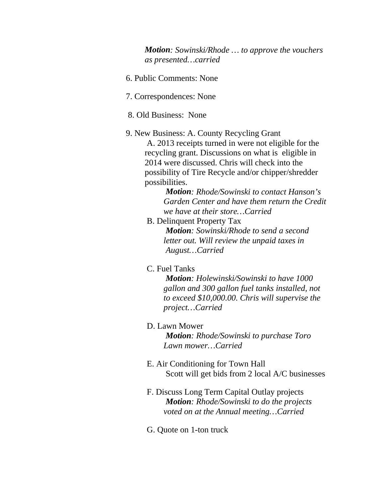*Motion: Sowinski/Rhode … to approve the vouchers as presented…carried*

- 6. Public Comments: None
- 7. Correspondences: None
- 8. Old Business: None
- 9. New Business: A. County Recycling Grant A. 2013 receipts turned in were not eligible for the recycling grant. Discussions on what is eligible in 2014 were discussed. Chris will check into the possibility of Tire Recycle and/or chipper/shredder possibilities.

*Motion: Rhode/Sowinski to contact Hanson's Garden Center and have them return the Credit we have at their store…Carried*

B. Delinquent Property Tax

*Motion: Sowinski/Rhode to send a second letter out. Will review the unpaid taxes in August…Carried*

C. Fuel Tanks

*Motion: Holewinski/Sowinski to have 1000 gallon and 300 gallon fuel tanks installed, not to exceed \$10,000.00. Chris will supervise the project…Carried*

D. Lawn Mower

*Motion: Rhode/Sowinski to purchase Toro Lawn mower…Carried*

- E. Air Conditioning for Town Hall Scott will get bids from 2 local A/C businesses
- F. Discuss Long Term Capital Outlay projects *Motion: Rhode/Sowinski to do the projects voted on at the Annual meeting…Carried*
- G. Quote on 1-ton truck